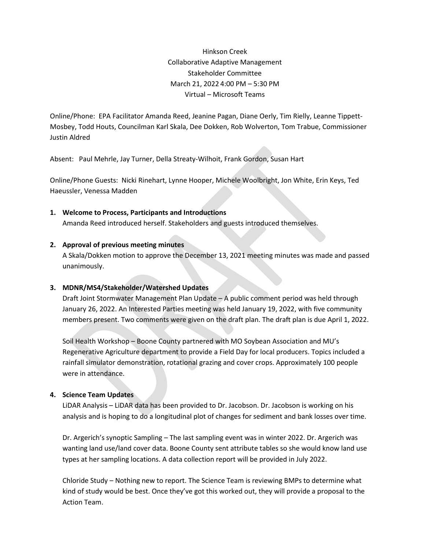Hinkson Creek Collaborative Adaptive Management Stakeholder Committee March 21, 2022 4:00 PM – 5:30 PM Virtual – Microsoft Teams

Online/Phone: EPA Facilitator Amanda Reed, Jeanine Pagan, Diane Oerly, Tim Rielly, Leanne Tippett-Mosbey, Todd Houts, Councilman Karl Skala, Dee Dokken, Rob Wolverton, Tom Trabue, Commissioner Justin Aldred

Absent: Paul Mehrle, Jay Turner, Della Streaty-Wilhoit, Frank Gordon, Susan Hart

Online/Phone Guests: Nicki Rinehart, Lynne Hooper, Michele Woolbright, Jon White, Erin Keys, Ted Haeussler, Venessa Madden

**1. Welcome to Process, Participants and Introductions**

Amanda Reed introduced herself. Stakeholders and guests introduced themselves.

#### **2. Approval of previous meeting minutes**

A Skala/Dokken motion to approve the December 13, 2021 meeting minutes was made and passed unanimously.

#### **3. MDNR/MS4/Stakeholder/Watershed Updates**

Draft Joint Stormwater Management Plan Update – A public comment period was held through January 26, 2022. An Interested Parties meeting was held January 19, 2022, with five community members present. Two comments were given on the draft plan. The draft plan is due April 1, 2022.

Soil Health Workshop – Boone County partnered with MO Soybean Association and MU's Regenerative Agriculture department to provide a Field Day for local producers. Topics included a rainfall simulator demonstration, rotational grazing and cover crops. Approximately 100 people were in attendance.

## **4. Science Team Updates**

LiDAR Analysis – LiDAR data has been provided to Dr. Jacobson. Dr. Jacobson is working on his analysis and is hoping to do a longitudinal plot of changes for sediment and bank losses over time.

Dr. Argerich's synoptic Sampling – The last sampling event was in winter 2022. Dr. Argerich was wanting land use/land cover data. Boone County sent attribute tables so she would know land use types at her sampling locations. A data collection report will be provided in July 2022.

Chloride Study – Nothing new to report. The Science Team is reviewing BMPs to determine what kind of study would be best. Once they've got this worked out, they will provide a proposal to the Action Team.